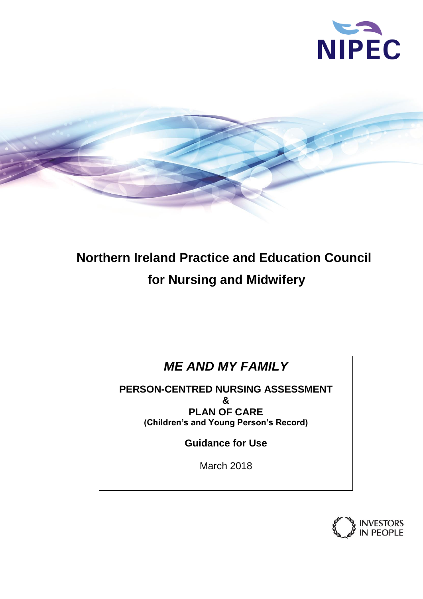



# **Northern Ireland Practice and Education Council for Nursing and Midwifery**

## *ME AND MY FAMILY*

**PERSON-CENTRED NURSING ASSESSMENT & PLAN OF CARE (Children's and Young Person's Record)**

**Guidance for Use**

March 2018

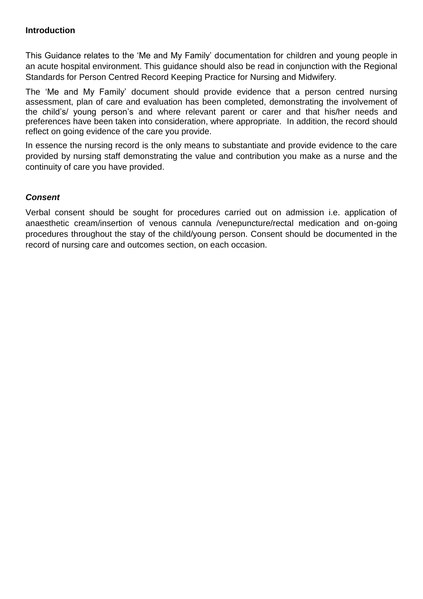#### **Introduction**

This Guidance relates to the 'Me and My Family' documentation for children and young people in an acute hospital environment. This guidance should also be read in conjunction with the Regional Standards for Person Centred Record Keeping Practice for Nursing and Midwifery.

The 'Me and My Family' document should provide evidence that a person centred nursing assessment, plan of care and evaluation has been completed, demonstrating the involvement of the child's/ young person's and where relevant parent or carer and that his/her needs and preferences have been taken into consideration, where appropriate. In addition, the record should reflect on going evidence of the care you provide.

In essence the nursing record is the only means to substantiate and provide evidence to the care provided by nursing staff demonstrating the value and contribution you make as a nurse and the continuity of care you have provided.

#### *Consent*

Verbal consent should be sought for procedures carried out on admission i.e. application of anaesthetic cream/insertion of venous cannula /venepuncture/rectal medication and on-going procedures throughout the stay of the child/young person. Consent should be documented in the record of nursing care and outcomes section, on each occasion.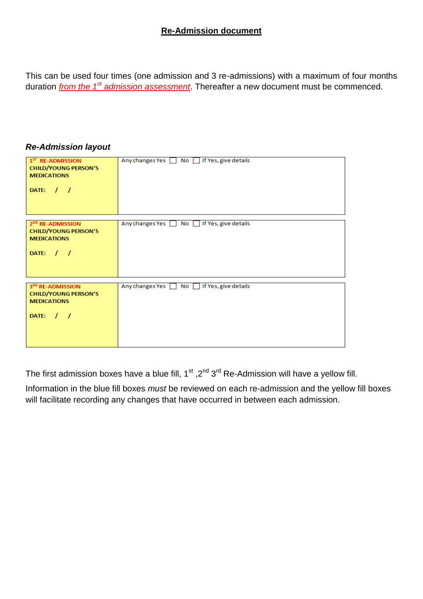#### **Re-Admission document**

This can be used four times (one admission and 3 re-admissions) with a maximum of four months duration *from the 1st admission assessment*. Thereafter a new document must be commenced.

#### *Re-Admission layout*

| $1ST$ RE-ADMISSION<br><b>CHILD/YOUNG PERSON'S</b><br><b>MEDICATIONS</b><br>DATE: $/ /$           | Any changes Yes \ No \ If Yes, give details   |
|--------------------------------------------------------------------------------------------------|-----------------------------------------------|
| 2 <sup>ND</sup> RE-ADMISSION<br><b>CHILD/YOUNG PERSON'S</b><br><b>MEDICATIONS</b><br>DATE: $/$ / | Any changes Yes No If Yes, give details       |
| 3RD RE-ADMISSION<br><b>CHILD/YOUNG PERSON'S</b><br><b>MEDICATIONS</b><br>DATE: $/ /$             | Any changes Yes \[ No \] If Yes, give details |

The first admission boxes have a blue fill,  $1<sup>st</sup>$ ,  $2<sup>nd</sup>$  3<sup>rd</sup> Re-Admission will have a yellow fill.

Information in the blue fill boxes *must* be reviewed on each re-admission and the yellow fill boxes will facilitate recording any changes that have occurred in between each admission.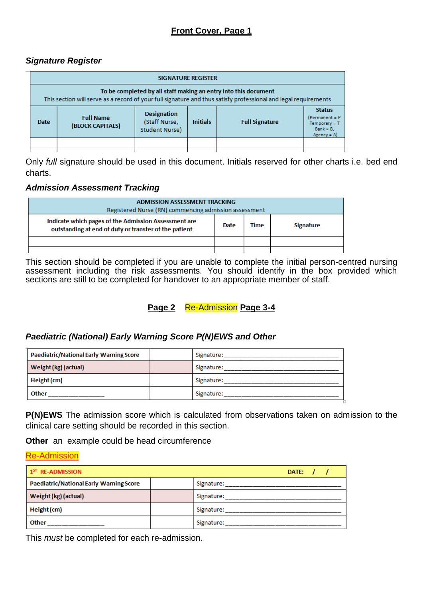#### *Signature Register*

| To be completed by all staff making an entry into this document                                                                                   |                                                                                     |  |  |  |
|---------------------------------------------------------------------------------------------------------------------------------------------------|-------------------------------------------------------------------------------------|--|--|--|
| This section will serve as a record of your full signature and thus satisfy professional and legal requirements                                   |                                                                                     |  |  |  |
| <b>Designation</b><br><b>Full Name</b><br>(Staff Nurse,<br><b>Initials</b><br><b>Full Signature</b><br>Date<br>(BLOCK CAPITALS)<br>Student Nurse) | <b>Status</b><br>$(Permannent = P)$<br>TemperatureT<br>$Bank = B$ ,<br>$Agency = A$ |  |  |  |
|                                                                                                                                                   |                                                                                     |  |  |  |

Only *full* signature should be used in this document. Initials reserved for other charts i.e. bed end charts.

#### *Admission Assessment Tracking*

| <b>ADMISSION ASSESSMENT TRACKING</b><br>Registered Nurse (RN) commencing admission assessment                                                     |  |  |  |
|---------------------------------------------------------------------------------------------------------------------------------------------------|--|--|--|
| Indicate which pages of the Admission Assessment are<br>Time<br><b>Signature</b><br>Date<br>outstanding at end of duty or transfer of the patient |  |  |  |
|                                                                                                                                                   |  |  |  |
|                                                                                                                                                   |  |  |  |

This section should be completed if you are unable to complete the initial person-centred nursing assessment including the risk assessments. You should identify in the box provided which sections are still to be completed for handover to an appropriate member of staff.

## **Page 2** Re-Admission Page 3-4

#### *Paediatric (National) Early Warning Score P(N)EWS and Other*

|                                    | Signature: |
|------------------------------------|------------|
| Weight (kg) (actual)<br>Signature: |            |
| Height (cm)<br>Signature:          |            |
| <b>Other</b><br>Signature:         |            |

**P(N)EWS** The admission score which is calculated from observations taken on admission to the clinical care setting should be recorded in this section.

**Other** an example could be head circumference

#### Re-Admission

| $1ST$ RE-ADMISSION                             | DATE: $/$ / |
|------------------------------------------------|-------------|
| <b>Paediatric/National Early Warning Score</b> | Signature:  |
| Weight (kg) (actual)                           | Signature:  |
| Height (cm)                                    | Signature:  |
| Other                                          | Signature:  |

This *must* be completed for each re-admission.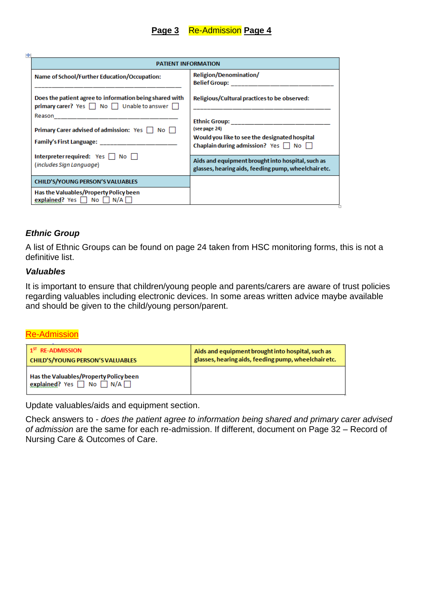| <b>PATIENT INFORMATION</b>                                                                                                                                                                                                                                                                  |                                                                                                                   |  |
|---------------------------------------------------------------------------------------------------------------------------------------------------------------------------------------------------------------------------------------------------------------------------------------------|-------------------------------------------------------------------------------------------------------------------|--|
| Name of School/Further Education/Occupation:                                                                                                                                                                                                                                                | Religion/Denomination/                                                                                            |  |
| Does the patient agree to information being shared with<br>primary carer? Yes   No   Unable to answer                                                                                                                                                                                       | Religious/Cultural practices to be observed:                                                                      |  |
| <b>Primary Carer advised of admission:</b> Yes     No    <br>Family's First Language: The control of the control of the control of the control of the control of the control of the control of the control of the control of the control of the control of the control of the control of th | (see page 24)<br>Would you like to see the designated hospital<br>Chaplain during admission? Yes $\Box$ No $\Box$ |  |
| Interpreter required: $Yes \mid \mid No \mid \mid$<br>(includes Sign Language)                                                                                                                                                                                                              | Aids and equipment brought into hospital, such as<br>glasses, hearing aids, feeding pump, wheelchair etc.         |  |
| <b>CHILD'S/YOUNG PERSON'S VALUABLES</b>                                                                                                                                                                                                                                                     |                                                                                                                   |  |
| Has the Valuables/Property Policy been<br>explained? Yes $\Box$ No $\Box$ N/A $\Box$                                                                                                                                                                                                        |                                                                                                                   |  |

#### *Ethnic Group*

A list of Ethnic Groups can be found on page 24 taken from HSC monitoring forms, this is not a definitive list.

#### *Valuables*

It is important to ensure that children/young people and parents/carers are aware of trust policies regarding valuables including electronic devices. In some areas written advice maybe available and should be given to the child/young person/parent.

#### Re-Admission

| 1 <sup>ST</sup> RE-ADMISSION                                                         | Aids and equipment brought into hospital, such as    |
|--------------------------------------------------------------------------------------|------------------------------------------------------|
| CHILD'S/YOUNG PERSON'S VALUABLES                                                     | glasses, hearing aids, feeding pump, wheelchair etc. |
| Has the Valuables/Property Policy been<br>explained? Yes $\Box$ No $\Box$ N/A $\Box$ |                                                      |

Update valuables/aids and equipment section.

Check answers to - *does the patient agree to information being shared and primary carer advised of admission* are the same for each re-admission. If different, document on Page 32 – Record of Nursing Care & Outcomes of Care.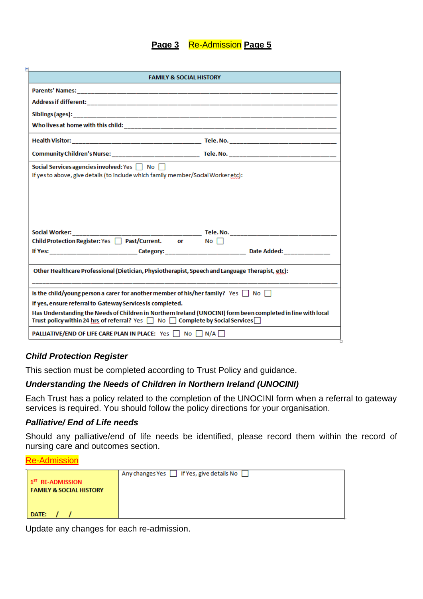#### **Page 3** Re-Admission Page 5

|                                                                                                                                                           | <b>FAMILY &amp; SOCIAL HISTORY</b>                                                                           |
|-----------------------------------------------------------------------------------------------------------------------------------------------------------|--------------------------------------------------------------------------------------------------------------|
|                                                                                                                                                           |                                                                                                              |
|                                                                                                                                                           |                                                                                                              |
|                                                                                                                                                           |                                                                                                              |
|                                                                                                                                                           |                                                                                                              |
|                                                                                                                                                           |                                                                                                              |
|                                                                                                                                                           |                                                                                                              |
| Social Services agencies involved: Yes $\Box$ No $\Box$                                                                                                   |                                                                                                              |
| If yes to above, give details (to include which family member/Social Worker etc):                                                                         |                                                                                                              |
|                                                                                                                                                           |                                                                                                              |
| Social Worker: <b>Social</b>                                                                                                                              |                                                                                                              |
| Child Protection Register: Yes □ Past/Current. or No □                                                                                                    |                                                                                                              |
|                                                                                                                                                           |                                                                                                              |
| Other Healthcare Professional (Dietician, Physiotherapist, Speech and Language Therapist, etc):                                                           |                                                                                                              |
|                                                                                                                                                           |                                                                                                              |
| Is the child/young person a carer for another member of his/her family? Yes $\Box$ No $\Box$<br>If yes, ensure referral to Gateway Services is completed. |                                                                                                              |
| Trust policy within 24 hrs of referral? Yes   No   Complete by Social Services                                                                            | Has Understanding the Needs of Children in Northern Ireland (UNOCINI) form been completed in line with local |

#### *Child Protection Register*

This section must be completed according to Trust Policy and guidance.

#### *Understanding the Needs of Children in Northern Ireland (UNOCINI)*

Each Trust has a policy related to the completion of the UNOCINI form when a referral to gateway services is required. You should follow the policy directions for your organisation.

#### *Palliative/ End of Life needs*

Should any palliative/end of life needs be identified, please record them within the record of nursing care and outcomes section.

Re-Admission

|                                    | Any changes Yes   If Yes, give details No |
|------------------------------------|-------------------------------------------|
| $15T$ RE-ADMISSION                 |                                           |
| <b>FAMILY &amp; SOCIAL HISTORY</b> |                                           |
|                                    |                                           |
|                                    |                                           |
| <b>DATE:</b>                       |                                           |

Update any changes for each re-admission.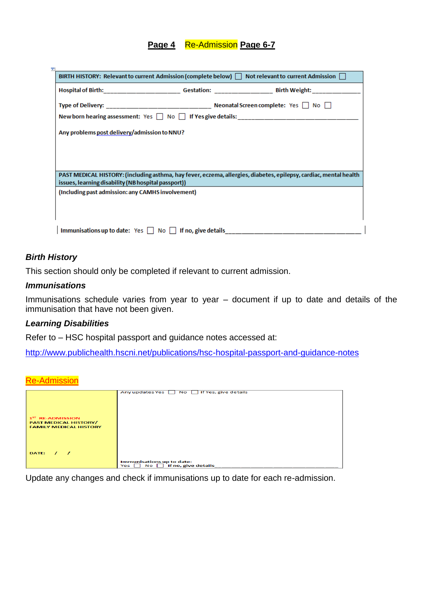#### **Page 4** Re-Admission **Page 6-7**

|                                                     | BIRTH HISTORY: Relevant to current Admission (complete below) $\Box$ Not relevant to current Admission $\Box$     |
|-----------------------------------------------------|-------------------------------------------------------------------------------------------------------------------|
|                                                     |                                                                                                                   |
|                                                     |                                                                                                                   |
|                                                     | New born hearing assessment: Yes   No   If Yes give details: ____________________                                 |
| Any problems post delivery/admission to NNU?        |                                                                                                                   |
|                                                     |                                                                                                                   |
|                                                     |                                                                                                                   |
|                                                     |                                                                                                                   |
| issues, learning disability (NB hospital passport)) | PAST MEDICAL HISTORY: (including asthma, hay fever, eczema, allergies, diabetes, epilepsy, cardiac, mental health |
| (Including past admission: any CAMHS involvement)   |                                                                                                                   |
|                                                     |                                                                                                                   |
|                                                     |                                                                                                                   |
|                                                     |                                                                                                                   |

#### *Birth History*

This section should only be completed if relevant to current admission.

#### *Immunisations*

Immunisations schedule varies from year to year – document if up to date and details of the immunisation that have not been given.

#### *Learning Disabilities*

Refer to – HSC hospital passport and guidance notes accessed at:

<http://www.publichealth.hscni.net/publications/hsc-hospital-passport-and-guidance-notes>

Re-Admission

| Any updates Yes \ No \ If Yes, give details |
|---------------------------------------------|
|                                             |
|                                             |
|                                             |
|                                             |
|                                             |
|                                             |
|                                             |
|                                             |
|                                             |
|                                             |
|                                             |
|                                             |
|                                             |
|                                             |
|                                             |
|                                             |
|                                             |
|                                             |
|                                             |
| Immunisations up to date:                   |
| $No$ If no, give details<br>Yes l           |
|                                             |

Update any changes and check if immunisations up to date for each re-admission.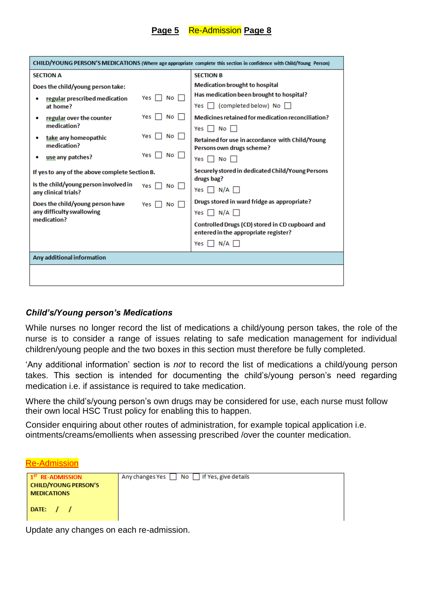#### **Page 5** Re-Admission **Page 8**

| CHILD/YOUNG PERSON'S MEDICATIONS (Where age appropriate complete this section in confidence with Child/Young Person) |                                   |                                                                                                |  |
|----------------------------------------------------------------------------------------------------------------------|-----------------------------------|------------------------------------------------------------------------------------------------|--|
| <b>SECTION A</b>                                                                                                     |                                   | <b>SECTION B</b>                                                                               |  |
| Does the child/young person take:                                                                                    |                                   | <b>Medication brought to hospital</b>                                                          |  |
| regular prescribed medication<br>at home?                                                                            | Yes $  $ No $  $                  | Has medication been brought to hospital?<br>Yes   (completed below) No                         |  |
| regular over the counter<br>medication?                                                                              | No II<br>Yes                      | Medicines retained for medication reconciliation?                                              |  |
| take any homeopathic<br>medication?                                                                                  | Yes II<br>No l<br>Yes    <br>No l | Yes     No    <br>Retained for use in accordance with Child/Young<br>Persons own drugs scheme? |  |
| use any patches?                                                                                                     |                                   | Yes $\Box$ No $\Box$                                                                           |  |
| If yes to any of the above complete Section B.                                                                       |                                   | Securely stored in dedicated Child/Young Persons<br>drugs bag?                                 |  |
| Is the child/young person involved in<br>any clinical trials?                                                        | Yes $\Box$<br>No l                | Yes $\Box$ N/A $\Box$                                                                          |  |
| Does the child/young person have<br>any difficulty swallowing                                                        | Yes l<br>No <sub>1</sub>          | Drugs stored in ward fridge as appropriate?<br>Yes $\Box$ N/A $\Box$                           |  |
| medication?                                                                                                          |                                   | Controlled Drugs (CD) stored in CD cupboard and<br>entered in the appropriate register?        |  |
|                                                                                                                      |                                   | Yes $\Box$ N/A $\Box$                                                                          |  |
| Any additional information                                                                                           |                                   |                                                                                                |  |
|                                                                                                                      |                                   |                                                                                                |  |

#### *Child's/Young person's Medications*

While nurses no longer record the list of medications a child/young person takes, the role of the nurse is to consider a range of issues relating to safe medication management for individual children/young people and the two boxes in this section must therefore be fully completed.

'Any additional information' section is *not* to record the list of medications a child/young person takes. This section is intended for documenting the child's/young person's need regarding medication i.e. if assistance is required to take medication.

Where the child's/young person's own drugs may be considered for use, each nurse must follow their own local HSC Trust policy for enabling this to happen.

Consider enquiring about other routes of administration, for example topical application i.e. ointments/creams/emollients when assessing prescribed /over the counter medication.

| 100 101 1100 101 1          |                   |  |
|-----------------------------|-------------------|--|
| $15T$ RE-ADMISSION          | Any changes Yes [ |  |
| <b>CHILD/YOUNG PERSON'S</b> |                   |  |
| <b>MEDICATIONS</b>          |                   |  |

Re-Admission

DATE:  $/$  /

No | If Yes, give details

Update any changes on each re-admission.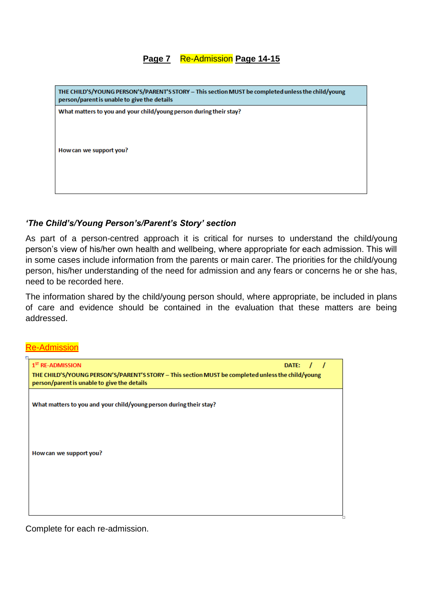#### **Page 7** Re-Admission Page 14-15

| THE CHILD'S/YOUNG PERSON'S/PARENT'S STORY - This section MUST be completed unless the child/young<br>person/parent is unable to give the details |
|--------------------------------------------------------------------------------------------------------------------------------------------------|
| What matters to you and your child/young person during their stay?                                                                               |
|                                                                                                                                                  |
|                                                                                                                                                  |
|                                                                                                                                                  |
|                                                                                                                                                  |
| How can we support you?                                                                                                                          |
|                                                                                                                                                  |
|                                                                                                                                                  |
|                                                                                                                                                  |
|                                                                                                                                                  |
|                                                                                                                                                  |
|                                                                                                                                                  |

#### *'The Child's/Young Person's/Parent's Story' section*

As part of a person-centred approach it is critical for nurses to understand the child/young person's view of his/her own health and wellbeing, where appropriate for each admission. This will in some cases include information from the parents or main carer. The priorities for the child/young person, his/her understanding of the need for admission and any fears or concerns he or she has, need to be recorded here.

The information shared by the child/young person should, where appropriate, be included in plans of care and evidence should be contained in the evaluation that these matters are being addressed.

Re-Admission



Complete for each re-admission.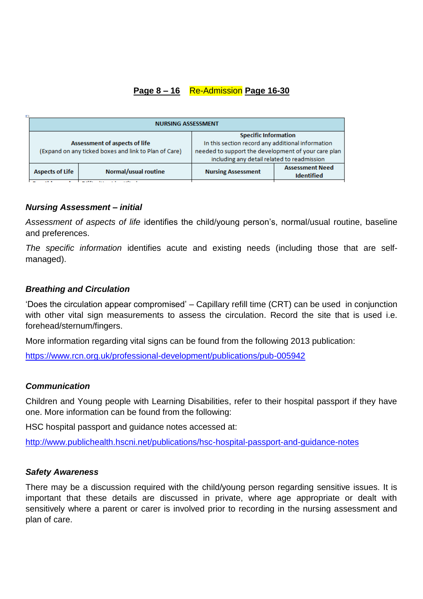## **Page 8 – 16 Re-Admission Page 16-30**

|  | <b>NURSING ASSESSMENT</b>     |                                                       |                                                     |                        |  |
|--|-------------------------------|-------------------------------------------------------|-----------------------------------------------------|------------------------|--|
|  | Assessment of aspects of life |                                                       | <b>Specific Information</b>                         |                        |  |
|  |                               |                                                       | In this section record any additional information   |                        |  |
|  |                               | (Expand on any ticked boxes and link to Plan of Care) | needed to support the development of your care plan |                        |  |
|  |                               |                                                       | including any detail related to readmission         |                        |  |
|  | <b>Aspects of Life</b>        | Normal/usual routine                                  | <b>Nursing Assessment</b>                           | <b>Assessment Need</b> |  |
|  |                               |                                                       |                                                     | <b>Identified</b>      |  |
|  | $\sim$<br>.                   |                                                       |                                                     |                        |  |

#### *Nursing Assessment – initial*

*Assessment of aspects of life* identifies the child/young person's, normal/usual routine, baseline and preferences.

*The specific information* identifies acute and existing needs (including those that are selfmanaged).

#### *Breathing and Circulation*

'Does the circulation appear compromised' – Capillary refill time (CRT) can be used in conjunction with other vital sign measurements to assess the circulation. Record the site that is used i.e. forehead/sternum/fingers.

More information regarding vital signs can be found from the following 2013 publication:

<https://www.rcn.org.uk/professional-development/publications/pub-005942>

#### *Communication*

Children and Young people with Learning Disabilities, refer to their hospital passport if they have one. More information can be found from the following:

HSC hospital passport and guidance notes accessed at:

<http://www.publichealth.hscni.net/publications/hsc-hospital-passport-and-guidance-notes>

#### *Safety Awareness*

There may be a discussion required with the child/young person regarding sensitive issues. It is important that these details are discussed in private, where age appropriate or dealt with sensitively where a parent or carer is involved prior to recording in the nursing assessment and plan of care.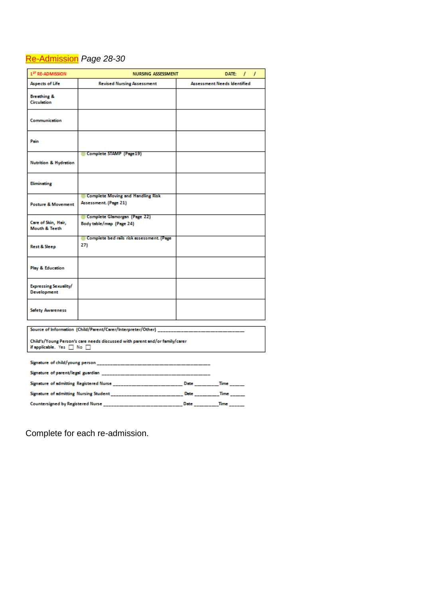## Re-Admission *Page 28-30*

| 1 <sup>ST</sup> RE-ADMISSION                                                                                       | <b>NURSING ASSESSMENT</b><br>DATE:<br>L                                                |                                    |  |  |  |
|--------------------------------------------------------------------------------------------------------------------|----------------------------------------------------------------------------------------|------------------------------------|--|--|--|
| <b>Aspects of Life</b>                                                                                             | <b>Revised Nursing Assessment</b>                                                      | <b>Assessment Needs Identified</b> |  |  |  |
| <b>Breathing &amp;</b><br><b>Circulation</b>                                                                       |                                                                                        |                                    |  |  |  |
| Communication                                                                                                      |                                                                                        |                                    |  |  |  |
| Pain                                                                                                               |                                                                                        |                                    |  |  |  |
| <b>Nutrition &amp; Hydration</b>                                                                                   | Complete STAMP (Page 19)                                                               |                                    |  |  |  |
| Eliminating                                                                                                        |                                                                                        |                                    |  |  |  |
| <b>Posture &amp; Movement</b>                                                                                      | Complete Moving and Handling Risk<br>Assessment. (Page 21)                             |                                    |  |  |  |
| Care of Skin, Hair,<br><b>Mouth &amp; Teeth</b>                                                                    | Complete Glamorgan (Page 22)<br>Body table/map (Page 24)                               |                                    |  |  |  |
| <b>Rest &amp; Sleep</b>                                                                                            | Complete bed rails risk assessment. (Page<br>27)                                       |                                    |  |  |  |
| <b>Play &amp; Education</b>                                                                                        |                                                                                        |                                    |  |  |  |
| Expressing Sexuality/<br><b>Development</b>                                                                        |                                                                                        |                                    |  |  |  |
| <b>Safety Awareness</b>                                                                                            |                                                                                        |                                    |  |  |  |
|                                                                                                                    | Source of Information (Child/Parent/Carer/Interpreter/Other) _                         |                                    |  |  |  |
| Child's/Young Person's care needs discussed with parent and/or family/carer<br>if applicable. Yes $\Box$ No $\Box$ |                                                                                        |                                    |  |  |  |
|                                                                                                                    |                                                                                        |                                    |  |  |  |
|                                                                                                                    |                                                                                        |                                    |  |  |  |
|                                                                                                                    | Signature of admitting Registered Nurse ____________________Date ______Time ____       |                                    |  |  |  |
|                                                                                                                    | Signature of admitting Nursing Student _________________________Date _______Time _____ |                                    |  |  |  |
|                                                                                                                    |                                                                                        |                                    |  |  |  |

Complete for each re-admission.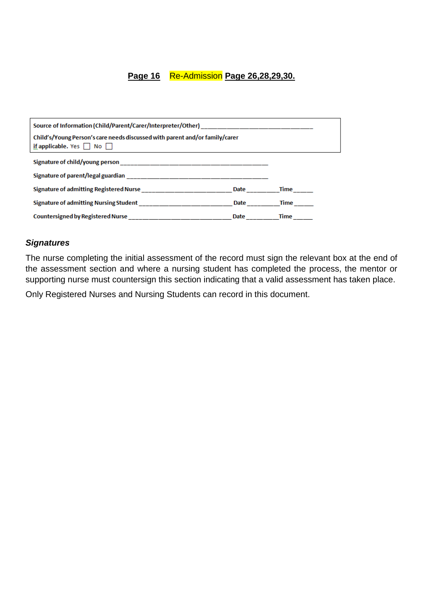#### **Page 16** Re-Admission **Page 26,28,29,30.**

| Child's/Young Person's care needs discussed with parent and/or family/carer<br>if applicable. Yes $\Box$ No $\Box$ |      |             |  |  |
|--------------------------------------------------------------------------------------------------------------------|------|-------------|--|--|
|                                                                                                                    |      |             |  |  |
|                                                                                                                    |      |             |  |  |
| Signature of admitting Registered Nurse _____________________________Date ____________Time ______                  |      |             |  |  |
| Signature of admitting Nursing Student _______________________________Date ______                                  |      | <b>Time</b> |  |  |
| Countersigned by Registered Nurse ____________________                                                             | Date | Time        |  |  |

#### *Signatures*

The nurse completing the initial assessment of the record must sign the relevant box at the end of the assessment section and where a nursing student has completed the process, the mentor or supporting nurse must countersign this section indicating that a valid assessment has taken place.

Only Registered Nurses and Nursing Students can record in this document.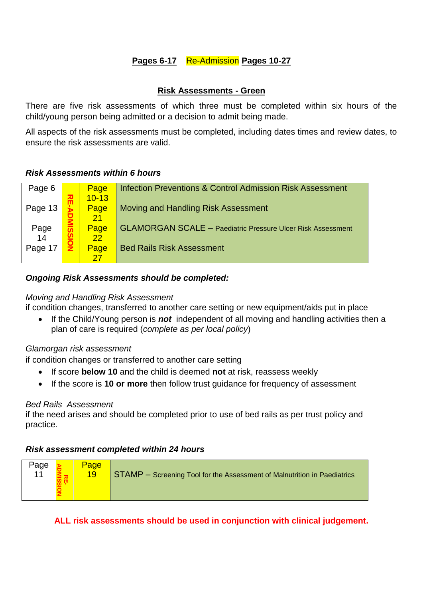## **Pages 6-17** Re-Admission **Pages 10-27**

#### **Risk Assessments - Green**

There are five risk assessments of which three must be completed within six hours of the child/young person being admitted or a decision to admit being made.

All aspects of the risk assessments must be completed, including dates times and review dates, to ensure the risk assessments are valid.

#### *Risk Assessments within 6 hours*

| Page 6     |   | Page<br>$10 - 13$ | <b>Infection Preventions &amp; Control Admission Risk Assessment</b> |
|------------|---|-------------------|----------------------------------------------------------------------|
| Page 13    | ш | Page<br>21        | Moving and Handling Risk Assessment                                  |
| Page<br>14 |   | Page<br>22        | <b>GLAMORGAN SCALE - Paediatric Pressure Ulcer Risk Assessment</b>   |
| Page 17    |   | Page              | <b>Bed Rails Risk Assessment</b>                                     |

#### *Ongoing Risk Assessments should be completed:*

#### *Moving and Handling Risk Assessment*

if condition changes, transferred to another care setting or new equipment/aids put in place

 If the Child/Young person is *not* independent of all moving and handling activities then a plan of care is required (*complete as per local policy*)

#### *Glamorgan risk assessment*

if condition changes or transferred to another care setting

- If score **below 10** and the child is deemed **not** at risk, reassess weekly
- If the score is **10 or more** then follow trust guidance for frequency of assessment

#### *Bed Rails Assessment*

if the need arises and should be completed prior to use of bed rails as per trust policy and practice.

#### *Risk assessment completed within 24 hours*

| Page<br>11 |  | Page<br>19 | STAMP - Screening Tool for the Assessment of Malnutrition in Paediatrics |
|------------|--|------------|--------------------------------------------------------------------------|
|------------|--|------------|--------------------------------------------------------------------------|

**ALL risk assessments should be used in conjunction with clinical judgement.**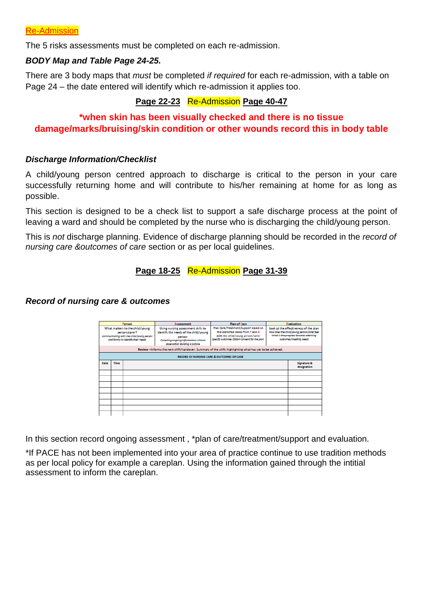The 5 risks assessments must be completed on each re-admission.

#### *BODY Map and Table Page 24-25.*

There are 3 body maps that *must* be completed *if required* for each re-admission, with a table on Page 24 – the date entered will identify which re-admission it applies too.

## **Page 22-23 Re-Admission Page 40-47**

## **\*when skin has been visually checked and there is no tissue damage/marks/bruising/skin condition or other wounds record this in body table**

#### *Discharge Information/Checklist*

A child/young person centred approach to discharge is critical to the person in your care successfully returning home and will contribute to his/her remaining at home for as long as possible.

This section is designed to be a check list to support a safe discharge process at the point of leaving a ward and should be completed by the nurse who is discharging the child/young person.

This is *not* discharge planning. Evidence of discharge planning should be recorded in the *record of nursing care &outcomes of care* section or as per local guidelines.

#### **Page 18-25** Re-Admission **Page 31-39**

#### *Record of nursing care & outcomes*

|                                                                                                                                     | Person      |  | <b>Assessment</b>                                                                                                                                                   | <b>Plan of Care</b>                                                                                                                                            |  | <b>Evaluation</b>                                                                                                                                       |  |
|-------------------------------------------------------------------------------------------------------------------------------------|-------------|--|---------------------------------------------------------------------------------------------------------------------------------------------------------------------|----------------------------------------------------------------------------------------------------------------------------------------------------------------|--|---------------------------------------------------------------------------------------------------------------------------------------------------------|--|
| What matters to the child/young<br>person/carer?<br>Communicating with the child/young person<br>and family to identify their needs |             |  | Using nursing assessment skills to<br>identify the needs of the child/young<br>person<br>Collecting ongoing information/ clinical<br>observation Building a picture | Plan Care/Treatment/Support based on<br>the identified needs from P and A<br>with the child/young person/carer<br>Specify outcomes Obtain consent for the plan |  | Look at the effectiveness of the plan<br>How does the child/young person/carer feel<br>What is the progress towards attaining<br>outcomes/meeting needs |  |
|                                                                                                                                     |             |  |                                                                                                                                                                     | Review-Informs the next shift/handover. Summary of the shift, highlighting what has yet to be achieved.                                                        |  |                                                                                                                                                         |  |
|                                                                                                                                     |             |  |                                                                                                                                                                     | RECORD OF NURSING CARE & OUTCOMES OF CARE                                                                                                                      |  |                                                                                                                                                         |  |
| Date                                                                                                                                | <b>Time</b> |  |                                                                                                                                                                     |                                                                                                                                                                |  | <b>Signature &amp;</b><br>designation                                                                                                                   |  |
|                                                                                                                                     |             |  |                                                                                                                                                                     |                                                                                                                                                                |  |                                                                                                                                                         |  |
|                                                                                                                                     |             |  |                                                                                                                                                                     |                                                                                                                                                                |  |                                                                                                                                                         |  |
|                                                                                                                                     |             |  |                                                                                                                                                                     |                                                                                                                                                                |  |                                                                                                                                                         |  |
|                                                                                                                                     |             |  |                                                                                                                                                                     |                                                                                                                                                                |  |                                                                                                                                                         |  |
|                                                                                                                                     |             |  |                                                                                                                                                                     |                                                                                                                                                                |  |                                                                                                                                                         |  |
|                                                                                                                                     |             |  |                                                                                                                                                                     |                                                                                                                                                                |  |                                                                                                                                                         |  |
|                                                                                                                                     |             |  |                                                                                                                                                                     |                                                                                                                                                                |  |                                                                                                                                                         |  |
|                                                                                                                                     |             |  |                                                                                                                                                                     |                                                                                                                                                                |  |                                                                                                                                                         |  |

In this section record ongoing assessment , \*plan of care/treatment/support and evaluation.

\*If PACE has not been implemented into your area of practice continue to use tradition methods as per local policy for example a careplan. Using the information gained through the intitial assessment to inform the careplan.